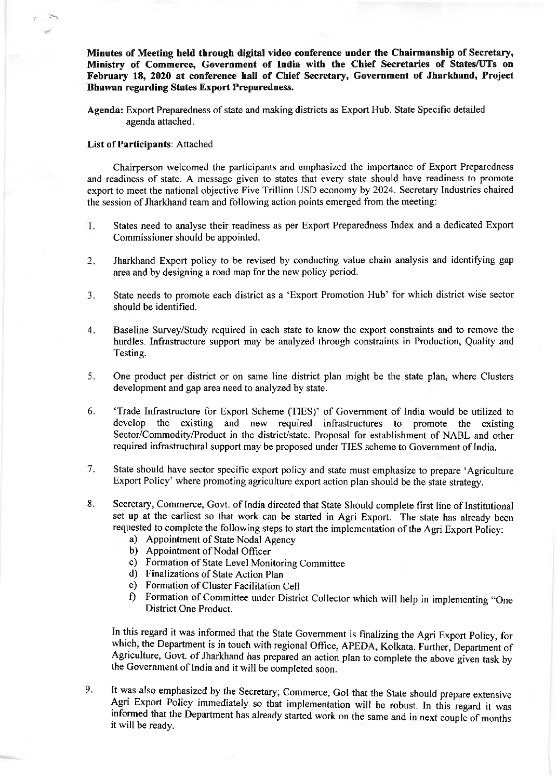Minutes of Meeting held through digital video conference under the Chairmanship of Secretary, Minishy of Commerce, Government of India with the Chief Secretaries of States/UTs on February 18, 2020 at conference hall of Chief Secretary, Government of Jharkhand, Project Bhawan regarding States Export Preparedness.

Agenda: Export Preparedness of state and making districts as Export Hub. State Specific detailed agenda attached.

## List of Participants: Attached

Chairperson welcomed the participants and emphasized the importance of Export Preparedness and readiness of state. A message given to states that every state should have readiness to promote export to meet the national objective Five Trillion USD economy by 2024. Secretary Industries chaired the session of Jharkhand team and following action points emerged from the meeting:

- States need to analyse their readiness as per Export Preparedness Index and a dedicated Export 1. Commissioner should be appointed.
- Jharkhand Export policy to be revised by conducting value chain analysis and identifying gap area and by designing a road map for the new policy period.  $2.$
- State needs to promote each district as a 'Export Promotion Hub' for which district wise sector should be identified.  $3<sub>1</sub>$
- Baseline Survey/Study required in each state to know the export constraints and to remove the hurdles. Infrastructure support may be analyzed through constraints in Production, Quality and Testing.  $4.$
- One product per district or on same line district plan might be the state plan, where Clusters development and gap area need to analyzed by state. 5.
- 'Trade Infrastmcture for Export Scheme (TIES)' of Government of India would be utilized to develop the existing and new required infrastructures to promote the existing Sector/Commodity/Product in the district/state. Proposal for establishment of NABL and other required infrastructural support may be proposed under TIES scheme to Government of India. 6
- State should have sector specific export policy and state must emphasize to prepare 'Agriculture Export Policy' where promoting agriculture export action plan should be the state strategy.  $7<sub>r</sub>$
- Secretary, Commerce, Govt. of India directed that State Should complete first line of Institutional set up at the earliest so that work can be started in Agri Export. The state has already been requested to complete the following steps to start the implementation of the Agri Export Policy: 8
	- a) Appointment of State Nodal Agency
	- b) Appointrnent of Nodal Officer
	- c) Formation of State Level Monitoring Committee d) Finalizations of State Action Plan
	-
	-
	- e) Formation of Cluster Facilitation Cell<br>f) Formation of Committee under District Collector which will help in implementing "One District One Product.

In this regard it was informed that the state Govemment is finalizing the Agri Export policy, for which, the Department is in touch with regional Office, APEDA, Kolkata. Further, Department of Agriculture, Govt. of Jharkhand has prepared an action plan to complete the above given task by the Govemment of India and it will be completed soon.

 $9.$ It was also emphasized by the Secretary; Commerce, GoI that the State should prepare extensive Agri Export Policy immediately so that implementation will be robust. In this regard it was informed that the Department has al